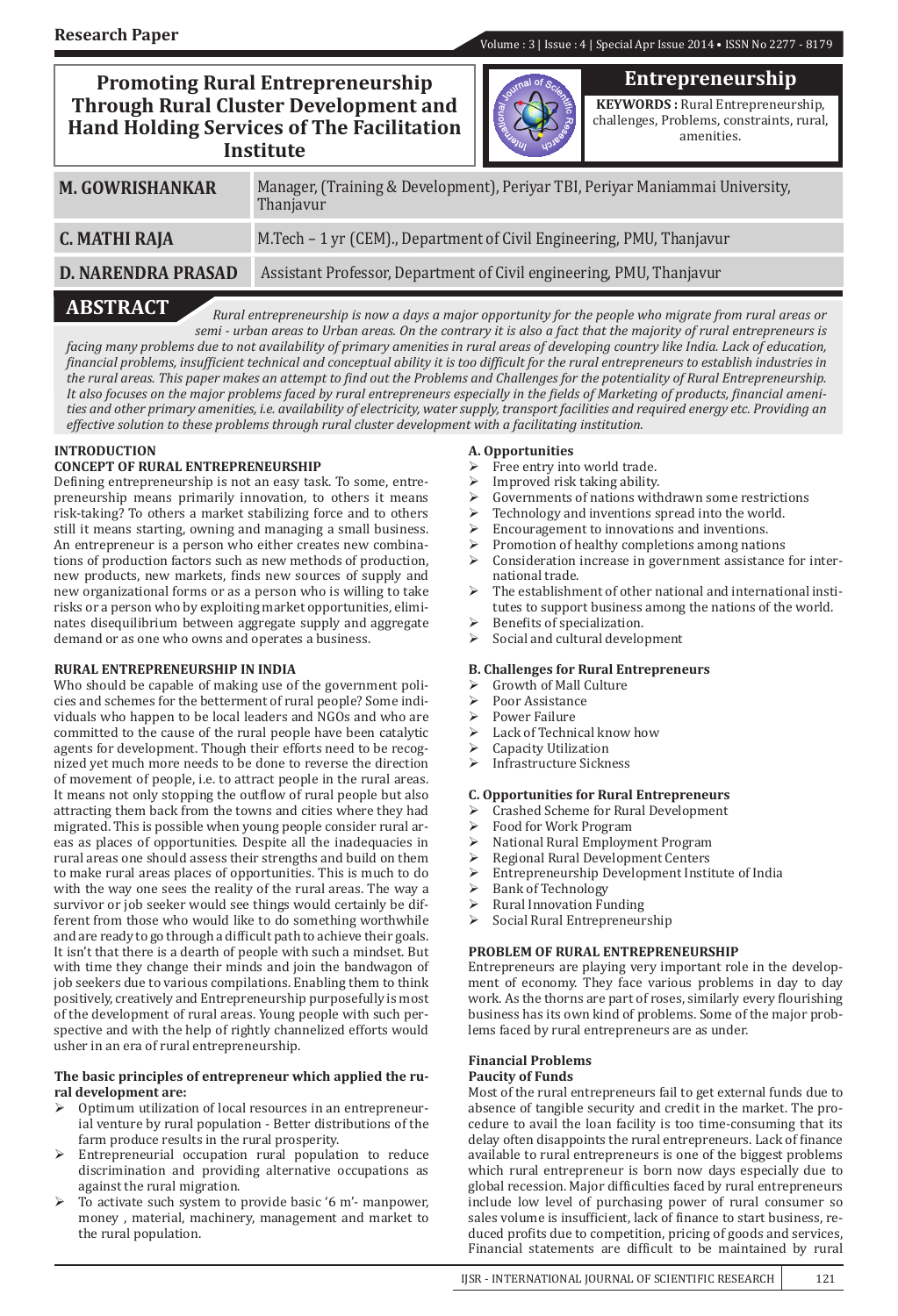# **Promoting Rural Entrepreneurship Through Rural Cluster Development and Hand Holding Services of The Facilitation Institute**



# **Entrepreneurship**

**KEYWORDS :** Rural Entrepreneurship, challenges, Problems, constraints, rural, amenities.

| <b>M. GOWRISHANKAR</b>    | Manager, (Training & Development), Periyar TBI, Periyar Maniammai University,<br>Thanjavur |
|---------------------------|--------------------------------------------------------------------------------------------|
| <b>C. MATHI RAJA</b>      | M.Tech - 1 yr (CEM)., Department of Civil Engineering, PMU, Thanjavur                      |
| <b>D. NARENDRA PRASAD</b> | Assistant Professor, Department of Civil engineering, PMU, Thanjavur                       |

**ABSTRACT** *Rural entrepreneurship is now a days a major opportunity for the people who migrate from rural areas or semi - urban areas to Urban areas. On the contrary it is also a fact that the majority of rural entrepreneurs is facing many problems due to not availability of primary amenities in rural areas of developing country like India. Lack of education, financial problems, insufficient technical and conceptual ability it is too difficult for the rural entrepreneurs to establish industries in the rural areas. This paper makes an attempt to find out the Problems and Challenges for the potentiality of Rural Entrepreneurship. It also focuses on the major problems faced by rural entrepreneurs especially in the fields of Marketing of products, financial amenities and other primary amenities, i.e. availability of electricity, water supply, transport facilities and required energy etc. Providing an effective solution to these problems through rural cluster development with a facilitating institution.*

# **INTRODUCTION**

# **CONCEPT OF RURAL ENTREPRENEURSHIP**

Defining entrepreneurship is not an easy task. To some, entrepreneurship means primarily innovation, to others it means risk-taking? To others a market stabilizing force and to others still it means starting, owning and managing a small business. An entrepreneur is a person who either creates new combinations of production factors such as new methods of production, new products, new markets, finds new sources of supply and new organizational forms or as a person who is willing to take risks or a person who by exploiting market opportunities, eliminates disequilibrium between aggregate supply and aggregate demand or as one who owns and operates a business.

# **RURAL ENTREPRENEURSHIP IN INDIA**

Who should be capable of making use of the government policies and schemes for the betterment of rural people? Some individuals who happen to be local leaders and NGOs and who are committed to the cause of the rural people have been catalytic agents for development. Though their efforts need to be recognized yet much more needs to be done to reverse the direction of movement of people, i.e. to attract people in the rural areas. It means not only stopping the outflow of rural people but also attracting them back from the towns and cities where they had migrated. This is possible when young people consider rural areas as places of opportunities. Despite all the inadequacies in rural areas one should assess their strengths and build on them to make rural areas places of opportunities. This is much to do with the way one sees the reality of the rural areas. The way a survivor or job seeker would see things would certainly be different from those who would like to do something worthwhile and are ready to go through a difficult path to achieve their goals. It isn't that there is a dearth of people with such a mindset. But with time they change their minds and join the bandwagon of job seekers due to various compilations. Enabling them to think positively, creatively and Entrepreneurship purposefully is most of the development of rural areas. Young people with such perspective and with the help of rightly channelized efforts would usher in an era of rural entrepreneurship.

## **The basic principles of entrepreneur which applied the rural development are:**

- Optimum utilization of local resources in an entrepreneurial venture by rural population - Better distributions of the farm produce results in the rural prosperity.
- Entrepreneurial occupation rural population to reduce discrimination and providing alternative occupations as against the rural migration.
- To activate such system to provide basic '6 m'- manpower, money , material, machinery, management and market to the rural population.

# **A. Opportunities**

- Free entry into world trade.<br>
Followed risk taking ability.
- $\triangleright$  Improved risk taking ability.<br> $\triangleright$  Governments of nations with
- $\triangleright$  Governments of nations withdrawn some restrictions<br> $\triangleright$  Technology and inventions spread into the world.
- Executions spread into the world.<br>  $\triangleright$  Encouragement to innovations and inventions.
- Encouragement to innovations and inventions.
- Promotion of healthy completions among nations
- Consideration increase in government assistance for international trade.
- The establishment of other national and international institutes to support business among the nations of the world.
- $\triangleright$  Benefits of specialization.
- Social and cultural development

# **B. Challenges for Rural Entrepreneurs**

- $\geq$  Growth of Mall Culture
- Poor Assistance
- Power Failure
- Lack of Technical know how
- $\geq$  Capacity Utilization<br> $\geq$  Infrastructure Sickn
- Infrastructure Sickness

# **C. Opportunities for Rural Entrepreneurs**

- $\triangleright$  Crashed Scheme for Rural Development<br> $\triangleright$  Food for Work Program
- Food for Work Program
- $\triangleright$  National Rural Employment Program<br> $\triangleright$  Regional Rural Development Centers
- $\geq$  Regional Rural Development Centers<br> $\geq$  Entrepreneurship Development Insti
- Entrepreneurship Development Institute of India
- Bank of Technology
- $\triangleright$  Rural Innovation Funding<br> $\triangleright$  Social Rural Entrepreneur
- Social Rural Entrepreneurship

# **PROBLEM OF RURAL ENTREPRENEURSHIP**

Entrepreneurs are playing very important role in the development of economy. They face various problems in day to day work. As the thorns are part of roses, similarly every flourishing business has its own kind of problems. Some of the major problems faced by rural entrepreneurs are as under.

# **Financial Problems Paucity of Funds**

Most of the rural entrepreneurs fail to get external funds due to absence of tangible security and credit in the market. The procedure to avail the loan facility is too time-consuming that its delay often disappoints the rural entrepreneurs. Lack of finance available to rural entrepreneurs is one of the biggest problems which rural entrepreneur is born now days especially due to global recession. Major difficulties faced by rural entrepreneurs include low level of purchasing power of rural consumer so sales volume is insufficient, lack of finance to start business, reduced profits due to competition, pricing of goods and services, Financial statements are difficult to be maintained by rural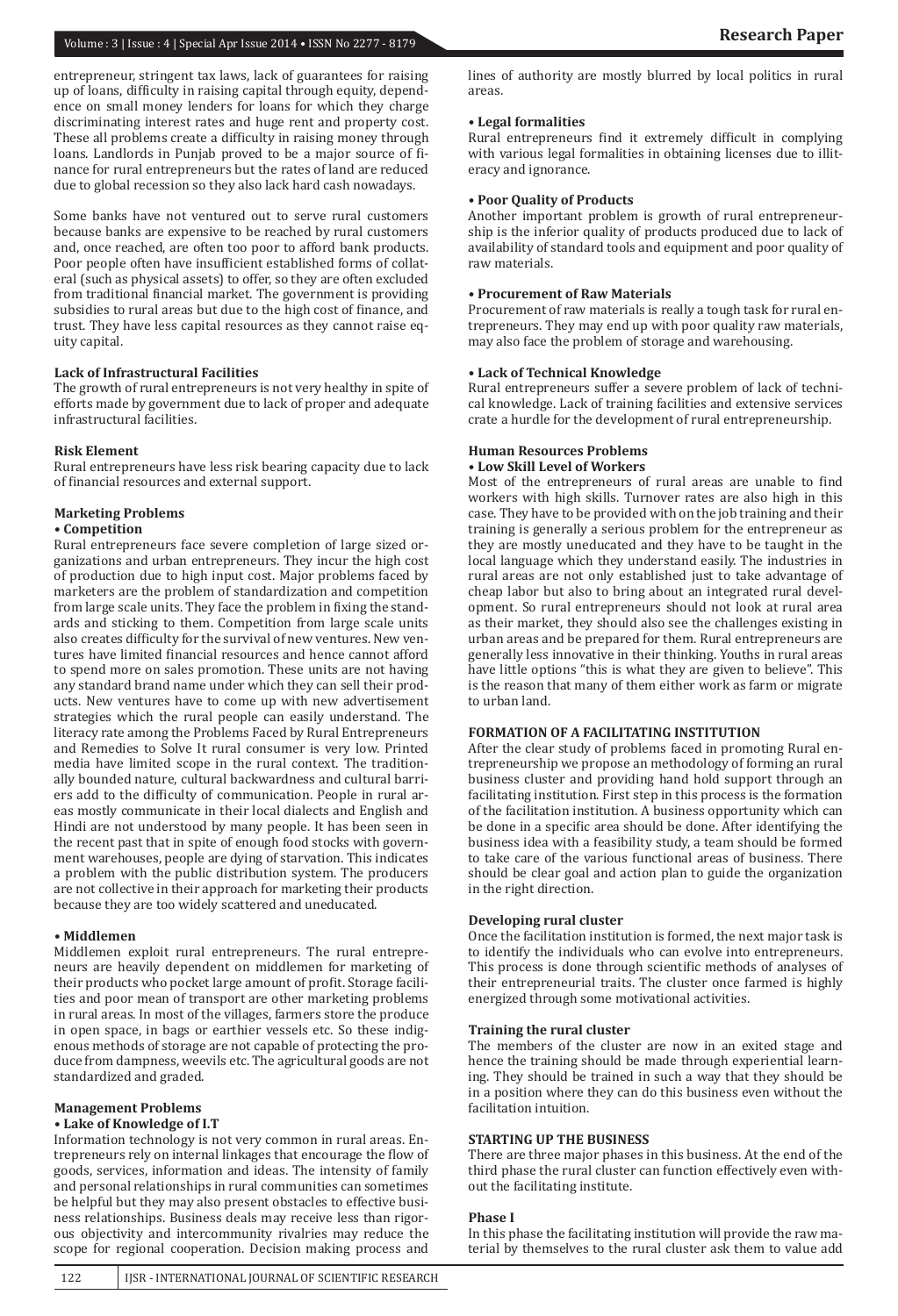# Volume : 3 | Issue : 4 | Special Apr Issue 2014 • ISSN No 2277 - 8179 **Research Paper**

entrepreneur, stringent tax laws, lack of guarantees for raising up of loans, difficulty in raising capital through equity, dependence on small money lenders for loans for which they charge discriminating interest rates and huge rent and property cost. These all problems create a difficulty in raising money through loans. Landlords in Punjab proved to be a major source of finance for rural entrepreneurs but the rates of land are reduced due to global recession so they also lack hard cash nowadays.

Some banks have not ventured out to serve rural customers because banks are expensive to be reached by rural customers and, once reached, are often too poor to afford bank products. Poor people often have insufficient established forms of collateral (such as physical assets) to offer, so they are often excluded from traditional financial market. The government is providing subsidies to rural areas but due to the high cost of finance, and trust. They have less capital resources as they cannot raise equity capital.

## **Lack of Infrastructural Facilities**

The growth of rural entrepreneurs is not very healthy in spite of efforts made by government due to lack of proper and adequate infrastructural facilities.

#### **Risk Element**

Rural entrepreneurs have less risk bearing capacity due to lack of financial resources and external support.

# **Marketing Problems**

# **• Competition**

Rural entrepreneurs face severe completion of large sized organizations and urban entrepreneurs. They incur the high cost of production due to high input cost. Major problems faced by marketers are the problem of standardization and competition from large scale units. They face the problem in fixing the standards and sticking to them. Competition from large scale units also creates difficulty for the survival of new ventures. New ventures have limited financial resources and hence cannot afford to spend more on sales promotion. These units are not having any standard brand name under which they can sell their products. New ventures have to come up with new advertisement strategies which the rural people can easily understand. The literacy rate among the Problems Faced by Rural Entrepreneurs and Remedies to Solve It rural consumer is very low. Printed media have limited scope in the rural context. The traditionally bounded nature, cultural backwardness and cultural barriers add to the difficulty of communication. People in rural areas mostly communicate in their local dialects and English and Hindi are not understood by many people. It has been seen in the recent past that in spite of enough food stocks with government warehouses, people are dying of starvation. This indicates a problem with the public distribution system. The producers are not collective in their approach for marketing their products because they are too widely scattered and uneducated.

## **• Middlemen**

Middlemen exploit rural entrepreneurs. The rural entrepreneurs are heavily dependent on middlemen for marketing of their products who pocket large amount of profit. Storage facilities and poor mean of transport are other marketing problems in rural areas. In most of the villages, farmers store the produce in open space, in bags or earthier vessels etc. So these indigenous methods of storage are not capable of protecting the produce from dampness, weevils etc. The agricultural goods are not standardized and graded.

# **Management Problems**

# **• Lake of Knowledge of I.T**

Information technology is not very common in rural areas. Entrepreneurs rely on internal linkages that encourage the flow of goods, services, information and ideas. The intensity of family and personal relationships in rural communities can sometimes be helpful but they may also present obstacles to effective business relationships. Business deals may receive less than rigorous objectivity and intercommunity rivalries may reduce the scope for regional cooperation. Decision making process and lines of authority are mostly blurred by local politics in rural areas.

#### **• Legal formalities**

Rural entrepreneurs find it extremely difficult in complying with various legal formalities in obtaining licenses due to illiteracy and ignorance.

# **• Poor Quality of Products**

Another important problem is growth of rural entrepreneurship is the inferior quality of products produced due to lack of availability of standard tools and equipment and poor quality of raw materials.

# **• Procurement of Raw Materials**

Procurement of raw materials is really a tough task for rural entrepreneurs. They may end up with poor quality raw materials, may also face the problem of storage and warehousing.

## **• Lack of Technical Knowledge**

Rural entrepreneurs suffer a severe problem of lack of technical knowledge. Lack of training facilities and extensive services crate a hurdle for the development of rural entrepreneurship.

#### **Human Resources Problems • Low Skill Level of Workers**

Most of the entrepreneurs of rural areas are unable to find workers with high skills. Turnover rates are also high in this case. They have to be provided with on the job training and their training is generally a serious problem for the entrepreneur as they are mostly uneducated and they have to be taught in the local language which they understand easily. The industries in rural areas are not only established just to take advantage of cheap labor but also to bring about an integrated rural development. So rural entrepreneurs should not look at rural area as their market, they should also see the challenges existing in urban areas and be prepared for them. Rural entrepreneurs are generally less innovative in their thinking. Youths in rural areas have little options "this is what they are given to believe". This is the reason that many of them either work as farm or migrate to urban land.

# **FORMATION OF A FACILITATING INSTITUTION**

After the clear study of problems faced in promoting Rural entrepreneurship we propose an methodology of forming an rural business cluster and providing hand hold support through an facilitating institution. First step in this process is the formation of the facilitation institution. A business opportunity which can be done in a specific area should be done. After identifying the business idea with a feasibility study, a team should be formed to take care of the various functional areas of business. There should be clear goal and action plan to guide the organization in the right direction.

# **Developing rural cluster**

Once the facilitation institution is formed, the next major task is to identify the individuals who can evolve into entrepreneurs. This process is done through scientific methods of analyses of their entrepreneurial traits. The cluster once farmed is highly energized through some motivational activities.

#### **Training the rural cluster**

The members of the cluster are now in an exited stage and hence the training should be made through experiential learning. They should be trained in such a way that they should be in a position where they can do this business even without the facilitation intuition.

### **STARTING UP THE BUSINESS**

There are three major phases in this business. At the end of the third phase the rural cluster can function effectively even without the facilitating institute.

#### **Phase I**

In this phase the facilitating institution will provide the raw material by themselves to the rural cluster ask them to value add